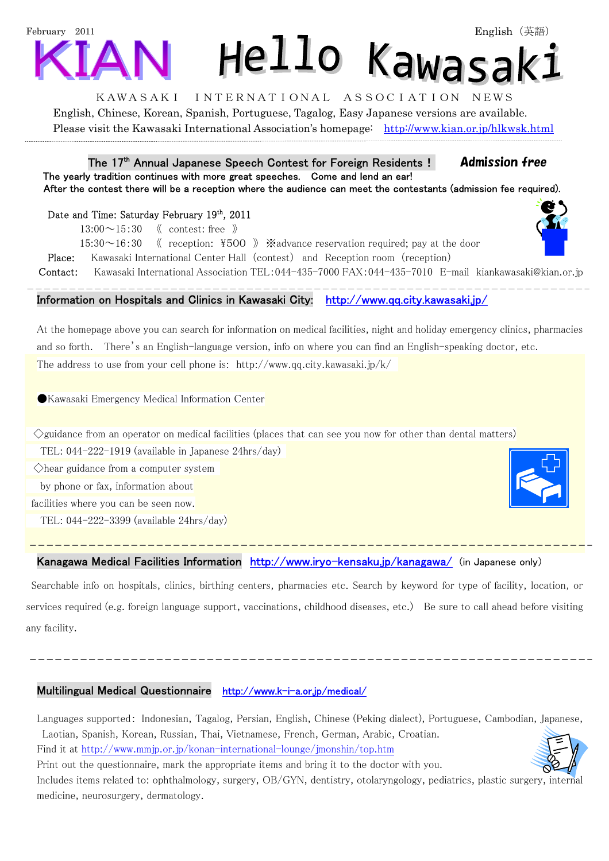# February 2011 Hello Kawasak:

### KAWASAKI INTERNATIONAL ASSOCIATION NEWS

English, Chinese, Korean, Spanish, Portuguese, Tagalog, Easy Japanese versions are available. Please visit the Kawasaki International Association's homepage: http://www.kian.or.jp/hlkwsk.html

#### The 17<sup>th</sup> Annual Japanese Speech Contest for Foreign Residents! **Admission free**  The yearly tradition continues with more great speeches. Come and lend an ear! After the contest there will be a reception where the audience can meet the contestants (admission fee required).

Date and Time: Saturday February 19th, 2011

 $13:00 \sim 15:30$  《 contest: free 》

 $15:30~16:30$  ( reception:  $\overline{4500}$  )  $\overline{\phantom{1}}$  & advance reservation required; pay at the door

Place: Kawasaki International Center Hall (contest) and Reception room (reception)

Contact: Kawasaki International Association TEL:044-435-7000 FAX:044-435-7010 E-mail kiankawasaki@kian.or.jp

# Information on Hospitals and Clinics in Kawasaki City: http://www.qq.city.kawasaki.jp/

At the homepage above you can search for information on medical facilities, night and holiday emergency clinics, pharmacies and so forth. There's an English-language version, info on where you can find an English-speaking doctor, etc. The address to use from your cell phone is: http://www.qq.city.kawasaki.jp/k/

●Kawasaki Emergency Medical Information Center

 $\Diamond$ guidance from an operator on medical facilities (places that can see you now for other than dental matters)

TEL: 044-222-1919 (available in Japanese 24hrs/day)

◇hear guidance from a computer system

by phone or fax, information about

facilities where you can be seen now.

j

TEL: 044-222-3399 (available 24hrs/day)

# Kanagawa Medical Facilities Information http://www.iryo-kensaku.jp/kanagawa/ (in Japanese only)

 Searchable info on hospitals, clinics, birthing centers, pharmacies etc. Search by keyword for type of facility, location, or services required (e.g. foreign language support, vaccinations, childhood diseases, etc.) Be sure to call ahead before visiting any facility.

## Multilingual Medical Questionnaire http://www.k-i-a.or.jp/medical/

Languages supported: Indonesian, Tagalog, Persian, English, Chinese (Peking dialect), Portuguese, Cambodian, Japanese, Laotian, Spanish, Korean, Russian, Thai, Vietnamese, French, German, Arabic, Croatian. Find it at http://www.mmjp.or.jp/konan-international-lounge/jmonshin/top.htm

Print out the questionnaire, mark the appropriate items and bring it to the doctor with you.

Includes items related to: ophthalmology, surgery, OB/GYN, dentistry, otolaryngology, pediatrics, plastic surgery, internal medicine, neurosurgery, dermatology.